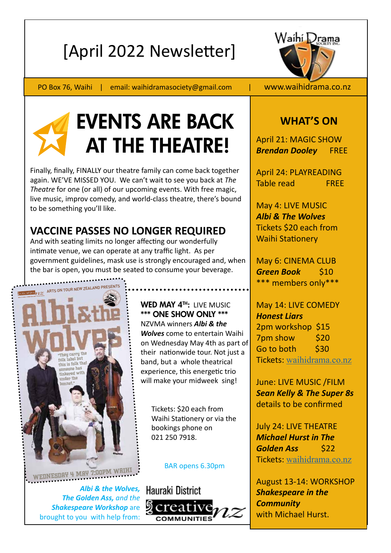# [April 2022 Newsletter]



PO Box 76, Waihi | email: waihidramasociety@gmail.com | www.waihidrama.co.nz



# EVENTS ARE BACK AT THE THEATRE!

Finally, finally, FINALLY our theatre family can come back together again. WE'VE MISSED YOU. We can't wait to see you back at *The Theatre* for one (or all) of our upcoming events. With free magic, live music, improv comedy, and world-class theatre, there's bound to be something you'll like.

## **VACCINE PASSES NO LONGER REQUIRED**

And with seating limits no longer affecting our wonderfully intimate venue, we can operate at any traffic light. As per government guidelines, mask use is strongly encouraged and, when the bar is open, you must be seated to consume your beverage.



*Albi & the Wolves, The Golden Ass, and the Shakespeare Workshop* are brought to you with help from:



 Tickets: \$20 each from Waihi Stationery or via the bookings phone on 021 250 7918.

### BAR opens 6.30pm



## **WHAT'S ON**

April 21: MAGIC SHOW *Brendan Dooley* FREE

April 24: PLAYREADING Table read FREE

May 4: LIVE MUSIC *Albi & The Wolves*  Tickets \$20 each from Waihi Stationery

May 6: CINEMA CLUB *Green Book* \$10 \*\*\* members only\*\*\*

May 14: LIVE COMEDY *Honest Liars* 2pm workshop \$15 7pm show \$20 Go to both \$30 Tickets: waihidrama.co.nz

June: LIVE MUSIC /FILM *Sean Kelly & The Super 8s* details to be confirmed

July 24: LIVE THEATRE *Michael Hurst in The Golden Ass* \$22 Tickets: waihidrama.co.nz

August 13-14: WORKSHOP *Shakespeare in the Community*  with Michael Hurst.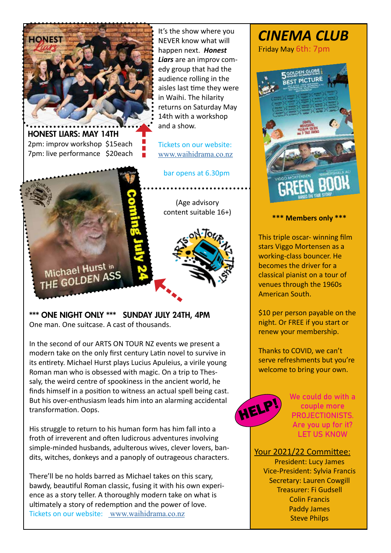

HONEST LIARS: MAY 14TH 2pm: improv workshop \$15each **HONEST LIARS: MAY 14TH**<br>2pm: improv workshop \$15each<br>7pm: live performance \$20each

Michael Hurst in THE GOLDEN ASS

It's the show where you NEVER know what will happen next. *Honest Liars* are an improv comedy group that had the audience rolling in the aisles last time they were in Waihi. The hilarity returns on Saturday May 14th with a workshop and a show.

Tickets on our website: www.waihidrama.co.nz

bar opens at 6.30pm

(Age advisory content suitable 16+)



\*\*\* ONE NIGHT ONLY \*\*\* SUNDAY JULY 24TH, 4PM One man. One suitcase. A cast of thousands.

In the second of our ARTS ON TOUR NZ events we present a modern take on the only first century Latin novel to survive in its entirety. Michael Hurst plays Lucius Apuleius, a virile young Roman man who is obsessed with magic. On a trip to Thessaly, the weird centre of spookiness in the ancient world, he finds himself in a position to witness an actual spell being cast. But his over-enthusiasm leads him into an alarming accidental transformation. Oops.

His struggle to return to his human form has him fall into a froth of irreverent and often ludicrous adventures involving simple-minded husbands, adulterous wives, clever lovers, bandits, witches, donkeys and a panoply of outrageous characters.

There'll be no holds barred as Michael takes on this scary, bawdy, beautiful Roman classic, fusing it with his own experience as a story teller. A thoroughly modern take on what is ultimately a story of redemption and the power of love. Tickets on our website: www.waihidrama.co.nz

# *CINEMA CLUB*

Friday May 6th: 7pm



**\*\*\* Members only \*\*\***

This triple oscar- winning film stars Viggo Mortensen as a working-class bouncer. He becomes the driver for a classical pianist on a tour of venues through the 1960s American South.

\$10 per person payable on the night. Or FREE if you start or renew your membership.

Thanks to COVID, we can't serve refreshments but you're welcome to bring your own.



We could do with a couple more PROJECTIONISTS. Are you up for it? LET US KNOW

Your 2021/22 Committee:

President: Lucy James Vice-President: Sylvia Francis Secretary: Lauren Cowgill Treasurer: Fi Gudsell Colin Francis Paddy James Steve Philps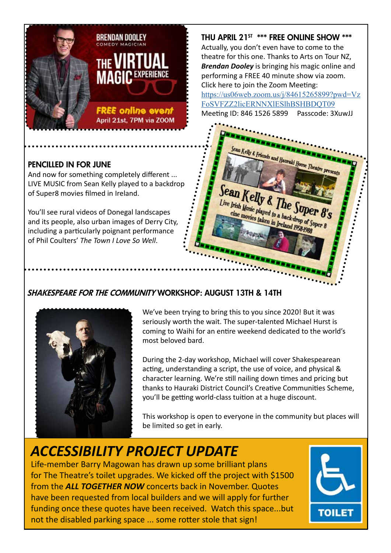

### PENCILLED IN FOR JUNE

And now for something completely different ... LIVE MUSIC from Sean Kelly played to a backdrop of Super8 movies filmed in Ireland.

You'll see rural videos of Donegal landscapes and its people, also urban images of Derry City, including a particularly poignant performance of Phil Coulters' *The Town I Love So Well*.

## THU APRIL 21<sup>ST</sup> \*\*\* FREE ONLINE SHOW \*\*\*

Actually, you don't even have to come to the theatre for this one. Thanks to Arts on Tour NZ, *Brendan Dooley* is bringing his magic online and performing a FREE 40 minute show via zoom. Click here to join the Zoom Meeting: https://us06web.zoom.us/j/84615265899?pwd=Vz FoSVFZZ2licERNNXlESlhBSHBDQT09 Meeting ID: 846 1526 5899 Passcode: 3XuwJJ

ds and Hauraki House Theatre

Sean Kelly & The Sope

Live Irish Music played to a backdrop of Super 8 ine movies taken in Ireland 1958-1988





We've been trying to bring this to you since 2020! But it was seriously worth the wait. The super-talented Michael Hurst is coming to Waihi for an entire weekend dedicated to the world's most beloved bard.

During the 2-day workshop, Michael will cover Shakespearean acting, understanding a script, the use of voice, and physical & character learning. We're still nailing down times and pricing but thanks to Hauraki District Council's Creative Communities Scheme, you'll be getting world-class tuition at a huge discount.

This workshop is open to everyone in the community but places will be limited so get in early.

# *ACCESSIBILITY PROJECT UPDATE*

Life-member Barry Magowan has drawn up some brilliant plans for The Theatre's toilet upgrades. We kicked off the project with \$1500 from the *ALL TOGETHER NOW* concerts back in November. Quotes have been requested from local builders and we will apply for further funding once these quotes have been received. Watch this space...but not the disabled parking space ... some rotter stole that sign!